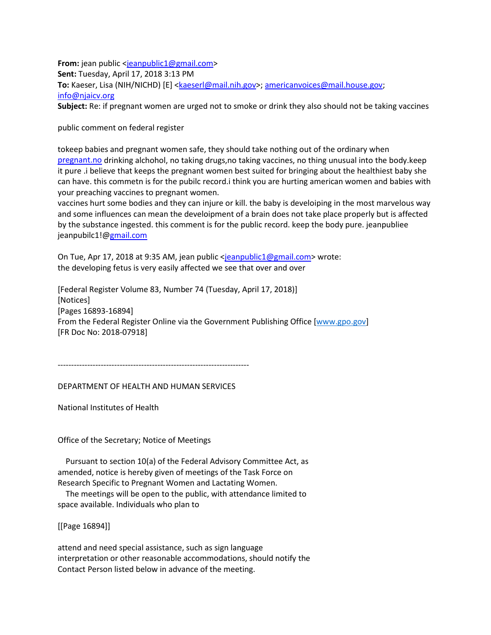**From:** jean public [<jeanpublic1@gmail.com>](mailto:jeanpublic1@gmail.com) **Sent:** Tuesday, April 17, 2018 3:13 PM **To:** Kaeser, Lisa (NIH/NICHD) [E] [<kaeserl@mail.nih.gov>](mailto:kaeserl@mail.nih.gov); [americanvoices@mail.house.gov;](mailto:americanvoices@mail.house.gov) [info@njaicv.org](mailto:info@njaicv.org) **Subject:** Re: if pregnant women are urged not to smoke or drink they also should not be taking vaccines

public comment on federal register

tokeep babies and pregnant women safe, they should take nothing out of the ordinary when [pregnant.no](http://pregnant.no/) drinking alchohol, no taking drugs,no taking vaccines, no thing unusual into the body.keep it pure .i believe that keeps the pregnant women best suited for bringing about the healthiest baby she can have. this commetn is for the pubilc record.i think you are hurting american women and babies with your preaching vaccines to pregnant women.

vaccines hurt some bodies and they can injure or kill. the baby is develoiping in the most marvelous way and some influences can mean the develoipment of a brain does not take place properly but is affected by the substance ingested. this comment is for the public record. keep the body pure. jeanpubliee jeanpubilc1![@gmail.com](mailto:jeanpublic1@gmail.com)

On Tue, Apr 17, 2018 at 9:35 AM, jean public [<jeanpublic1@gmail.com>](mailto:jeanpublic1@gmail.com) wrote: the developing fetus is very easily affected we see that over and over

[Federal Register Volume 83, Number 74 (Tuesday, April 17, 2018)] [Notices] [Pages 16893-16894] From the Federal Register Online via the Government Publishing Office [\[www.gpo.gov\]](http://www.gpo.gov/) [FR Doc No: 2018-07918]

-----------------------------------------------------------------------

DEPARTMENT OF HEALTH AND HUMAN SERVICES

National Institutes of Health

Office of the Secretary; Notice of Meetings

 Pursuant to section 10(a) of the Federal Advisory Committee Act, as amended, notice is hereby given of meetings of the Task Force on Research Specific to Pregnant Women and Lactating Women.

 The meetings will be open to the public, with attendance limited to space available. Individuals who plan to

[[Page 16894]]

attend and need special assistance, such as sign language interpretation or other reasonable accommodations, should notify the Contact Person listed below in advance of the meeting.